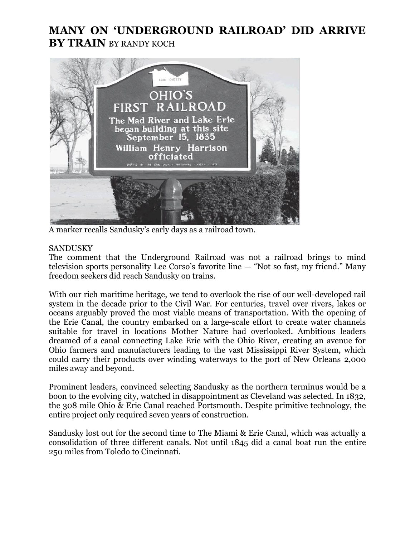## **MANY ON 'UNDERGROUND RAILROAD' DID ARRIVE BY TRAIN** BY RANDY KOCH



A marker recalls Sandusky's early days as a railroad town.

## SANDUSKY

The comment that the Underground Railroad was not a railroad brings to mind television sports personality Lee Corso's favorite line — "Not so fast, my friend." Many freedom seekers did reach Sandusky on trains.

With our rich maritime heritage, we tend to overlook the rise of our well-developed rail system in the decade prior to the Civil War. For centuries, travel over rivers, lakes or oceans arguably proved the most viable means of transportation. With the opening of the Erie Canal, the country embarked on a large-scale effort to create water channels suitable for travel in locations Mother Nature had overlooked. Ambitious leaders dreamed of a canal connecting Lake Erie with the Ohio River, creating an avenue for Ohio farmers and manufacturers leading to the vast Mississippi River System, which could carry their products over winding waterways to the port of New Orleans 2,000 miles away and beyond.

Prominent leaders, convinced selecting Sandusky as the northern terminus would be a boon to the evolving city, watched in disappointment as Cleveland was selected. In 1832, the 308 mile Ohio & Erie Canal reached Portsmouth. Despite primitive technology, the entire project only required seven years of construction.

Sandusky lost out for the second time to The Miami & Erie Canal, which was actually a consolidation of three different canals. Not until 1845 did a canal boat run the entire 250 miles from Toledo to Cincinnati.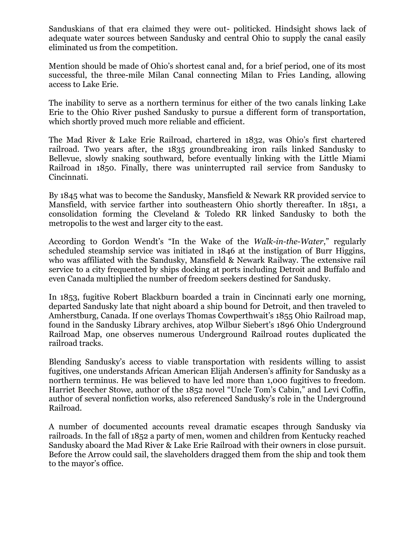Sanduskians of that era claimed they were out- politicked. Hindsight shows lack of adequate water sources between Sandusky and central Ohio to supply the canal easily eliminated us from the competition.

Mention should be made of Ohio's shortest canal and, for a brief period, one of its most successful, the three-mile Milan Canal connecting Milan to Fries Landing, allowing access to Lake Erie.

The inability to serve as a northern terminus for either of the two canals linking Lake Erie to the Ohio River pushed Sandusky to pursue a different form of transportation, which shortly proved much more reliable and efficient.

The Mad River & Lake Erie Railroad, chartered in 1832, was Ohio's first chartered railroad. Two years after, the 1835 groundbreaking iron rails linked Sandusky to Bellevue, slowly snaking southward, before eventually linking with the Little Miami Railroad in 1850. Finally, there was uninterrupted rail service from Sandusky to Cincinnati.

By 1845 what was to become the Sandusky, Mansfield & Newark RR provided service to Mansfield, with service farther into southeastern Ohio shortly thereafter. In 1851, a consolidation forming the Cleveland & Toledo RR linked Sandusky to both the metropolis to the west and larger city to the east.

According to Gordon Wendt's "In the Wake of the *Walk-in-the-Water*," regularly scheduled steamship service was initiated in 1846 at the instigation of Burr Higgins, who was affiliated with the Sandusky, Mansfield & Newark Railway. The extensive rail service to a city frequented by ships docking at ports including Detroit and Buffalo and even Canada multiplied the number of freedom seekers destined for Sandusky.

In 1853, fugitive Robert Blackburn boarded a train in Cincinnati early one morning, departed Sandusky late that night aboard a ship bound for Detroit, and then traveled to Amherstburg, Canada. If one overlays Thomas Cowperthwait's 1855 Ohio Railroad map, found in the Sandusky Library archives, atop Wilbur Siebert's 1896 Ohio Underground Railroad Map, one observes numerous Underground Railroad routes duplicated the railroad tracks.

Blending Sandusky's access to viable transportation with residents willing to assist fugitives, one understands African American Elijah Andersen's affinity for Sandusky as a northern terminus. He was believed to have led more than 1,000 fugitives to freedom. Harriet Beecher Stowe, author of the 1852 novel "Uncle Tom's Cabin," and Levi Coffin, author of several nonfiction works, also referenced Sandusky's role in the Underground Railroad.

A number of documented accounts reveal dramatic escapes through Sandusky via railroads. In the fall of 1852 a party of men, women and children from Kentucky reached Sandusky aboard the Mad River & Lake Erie Railroad with their owners in close pursuit. Before the Arrow could sail, the slaveholders dragged them from the ship and took them to the mayor's office.